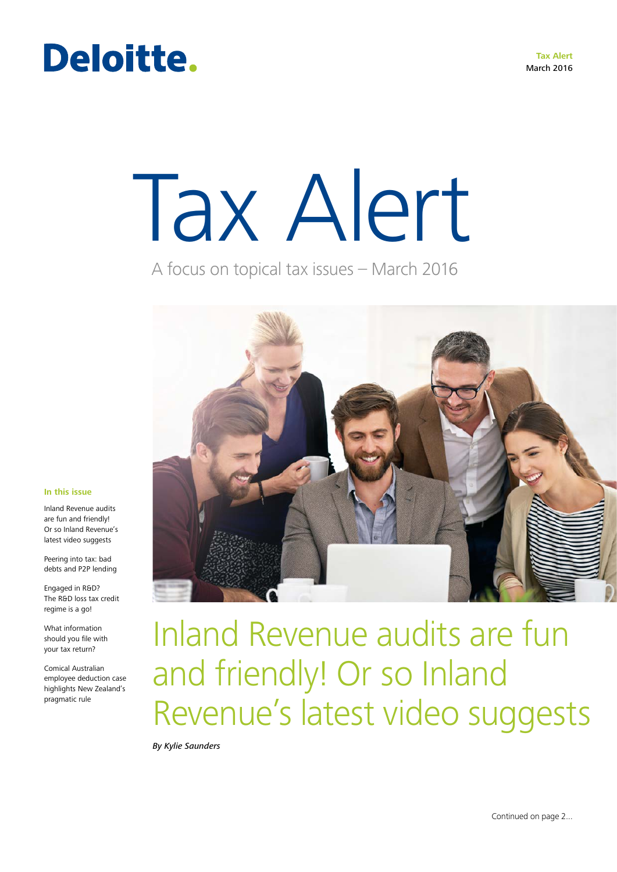**Tax Alert** March 2016

# Deloitte.

# Tax Alert

A focus on topical tax issues – March 2016



#### **In this issue**

Inland Revenue audits are fun and friendly! Or so Inland Revenue's latest video suggests

Peering into tax: bad debts and P2P lending

Engaged in R&D? The R&D loss tax credit regime is a go!

What information should you file with your tax return?

Comical Australian employee deduction case highlights New Zealand's pragmatic rule

Inland Revenue audits are fun and friendly! Or so Inland Revenue's latest video suggests

*By Kylie Saunders*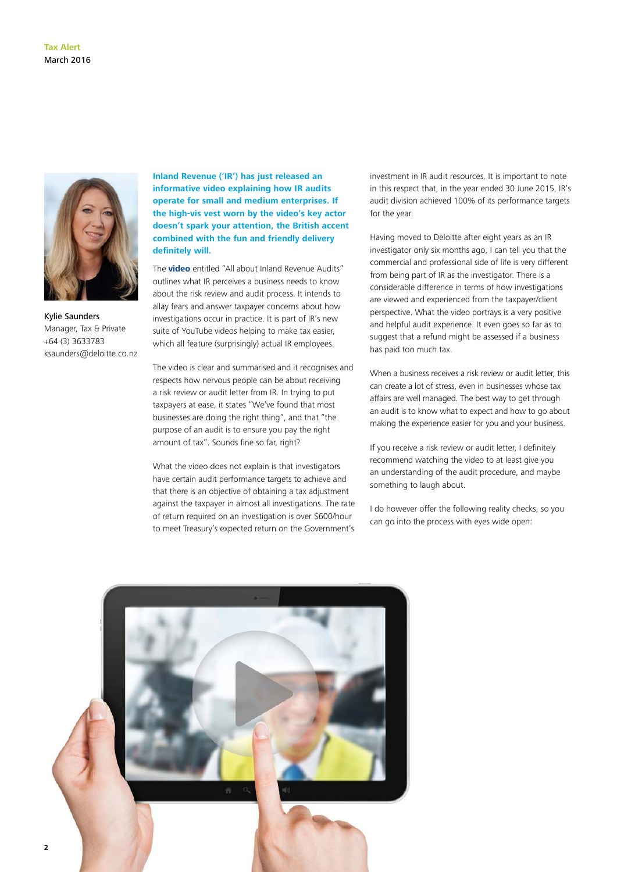

Kylie Saunders Manager, Tax & Private +64 (3) 3633783 ksaunders@deloitte.co.nz

**Inland Revenue ('IR') has just released an informative video explaining how IR audits operate for small and medium enterprises. If the high-vis vest worn by the video's key actor doesn't spark your attention, the British accent combined with the fun and friendly delivery definitely will.** 

The **[video](http://www.ird.govt.nz/help/demo/business-audits/audit-video-index.html)** entitled "All about Inland Revenue Audits" outlines what IR perceives a business needs to know about the risk review and audit process. It intends to allay fears and answer taxpayer concerns about how investigations occur in practice. It is part of IR's new suite of YouTube videos helping to make tax easier, which all feature (surprisingly) actual IR employees.

The video is clear and summarised and it recognises and respects how nervous people can be about receiving a risk review or audit letter from IR. In trying to put taxpayers at ease, it states "We've found that most businesses are doing the right thing", and that "the purpose of an audit is to ensure you pay the right amount of tax". Sounds fine so far, right?

What the video does not explain is that investigators have certain audit performance targets to achieve and that there is an objective of obtaining a tax adjustment against the taxpayer in almost all investigations. The rate of return required on an investigation is over \$600/hour to meet Treasury's expected return on the Government's

investment in IR audit resources. It is important to note in this respect that, in the year ended 30 June 2015, IR's audit division achieved 100% of its performance targets for the year.

Having moved to Deloitte after eight years as an IR investigator only six months ago, I can tell you that the commercial and professional side of life is very different from being part of IR as the investigator. There is a considerable difference in terms of how investigations are viewed and experienced from the taxpayer/client perspective. What the video portrays is a very positive and helpful audit experience. It even goes so far as to suggest that a refund might be assessed if a business has paid too much tax.

When a business receives a risk review or audit letter, this can create a lot of stress, even in businesses whose tax affairs are well managed. The best way to get through an audit is to know what to expect and how to go about making the experience easier for you and your business.

If you receive a risk review or audit letter, I definitely recommend watching the video to at least give you an understanding of the audit procedure, and maybe something to laugh about.

I do however offer the following reality checks, so you can go into the process with eyes wide open:

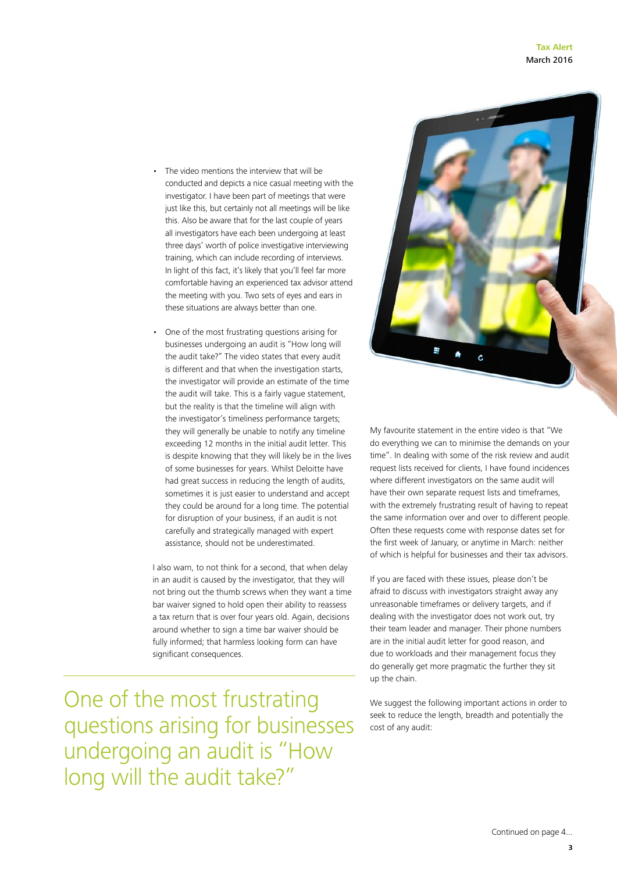- The video mentions the interview that will be conducted and depicts a nice casual meeting with the investigator. I have been part of meetings that were just like this, but certainly not all meetings will be like this. Also be aware that for the last couple of years all investigators have each been undergoing at least three days' worth of police investigative interviewing training, which can include recording of interviews. In light of this fact, it's likely that you'll feel far more comfortable having an experienced tax advisor attend the meeting with you. Two sets of eyes and ears in these situations are always better than one.
- One of the most frustrating questions arising for businesses undergoing an audit is "How long will the audit take?" The video states that every audit is different and that when the investigation starts, the investigator will provide an estimate of the time the audit will take. This is a fairly vague statement, but the reality is that the timeline will align with the investigator's timeliness performance targets; they will generally be unable to notify any timeline exceeding 12 months in the initial audit letter. This is despite knowing that they will likely be in the lives of some businesses for years. Whilst Deloitte have had great success in reducing the length of audits, sometimes it is just easier to understand and accept they could be around for a long time. The potential for disruption of your business, if an audit is not carefully and strategically managed with expert assistance, should not be underestimated.

I also warn, to not think for a second, that when delay in an audit is caused by the investigator, that they will not bring out the thumb screws when they want a time bar waiver signed to hold open their ability to reassess a tax return that is over four years old. Again, decisions around whether to sign a time bar waiver should be fully informed; that harmless looking form can have significant consequences.

One of the most frustrating questions arising for businesses undergoing an audit is "How long will the audit take?"



My favourite statement in the entire video is that "We do everything we can to minimise the demands on your time". In dealing with some of the risk review and audit request lists received for clients, I have found incidences where different investigators on the same audit will have their own separate request lists and timeframes, with the extremely frustrating result of having to repeat the same information over and over to different people. Often these requests come with response dates set for the first week of January, or anytime in March: neither of which is helpful for businesses and their tax advisors.

If you are faced with these issues, please don't be afraid to discuss with investigators straight away any unreasonable timeframes or delivery targets, and if dealing with the investigator does not work out, try their team leader and manager. Their phone numbers are in the initial audit letter for good reason, and due to workloads and their management focus they do generally get more pragmatic the further they sit up the chain.

We suggest the following important actions in order to seek to reduce the length, breadth and potentially the cost of any audit: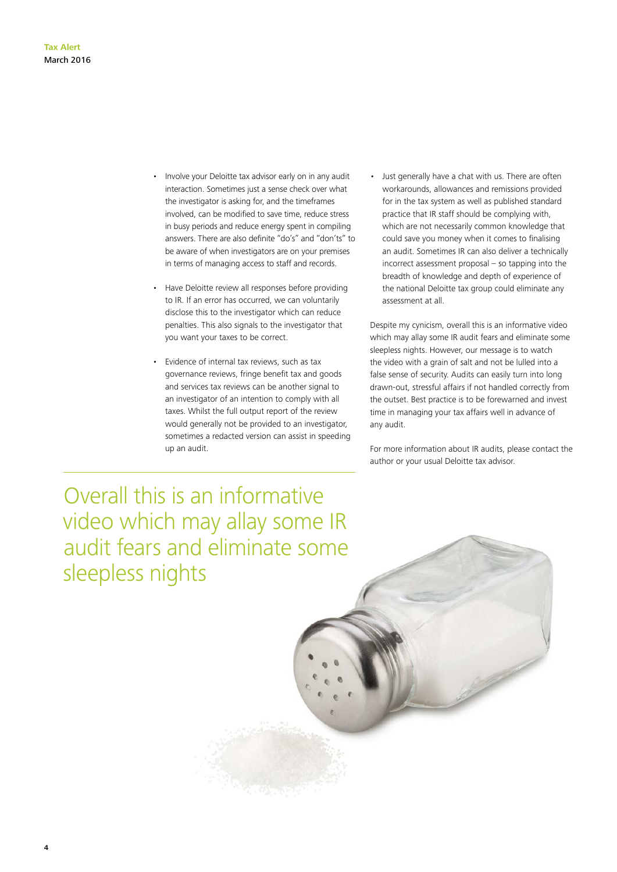- Involve your Deloitte tax advisor early on in any audit interaction. Sometimes just a sense check over what the investigator is asking for, and the timeframes involved, can be modified to save time, reduce stress in busy periods and reduce energy spent in compiling answers. There are also definite "do's" and "don'ts" to be aware of when investigators are on your premises in terms of managing access to staff and records.
- Have Deloitte review all responses before providing to IR. If an error has occurred, we can voluntarily disclose this to the investigator which can reduce penalties. This also signals to the investigator that you want your taxes to be correct.
- Evidence of internal tax reviews, such as tax governance reviews, fringe benefit tax and goods and services tax reviews can be another signal to an investigator of an intention to comply with all taxes. Whilst the full output report of the review would generally not be provided to an investigator, sometimes a redacted version can assist in speeding up an audit.
- Just generally have a chat with us. There are often workarounds, allowances and remissions provided for in the tax system as well as published standard practice that IR staff should be complying with, which are not necessarily common knowledge that could save you money when it comes to finalising an audit. Sometimes IR can also deliver a technically incorrect assessment proposal – so tapping into the breadth of knowledge and depth of experience of the national Deloitte tax group could eliminate any assessment at all.

Despite my cynicism, overall this is an informative video which may allay some IR audit fears and eliminate some sleepless nights. However, our message is to watch the video with a grain of salt and not be lulled into a false sense of security. Audits can easily turn into long drawn-out, stressful affairs if not handled correctly from the outset. Best practice is to be forewarned and invest time in managing your tax affairs well in advance of any audit.

For more information about IR audits, please contact the author or your usual Deloitte tax advisor.

Overall this is an informative video which may allay some IR audit fears and eliminate some sleepless nights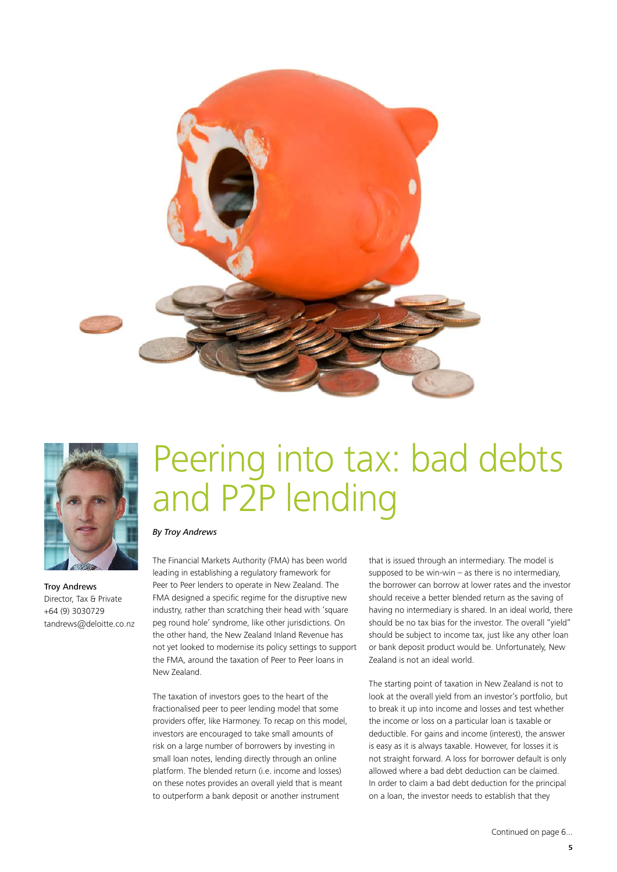



Troy Andrews Director, Tax & Private +64 (9) 3030729 tandrews@deloitte.co.nz

# Peering into tax: bad debts and P2P lending

#### *By Troy Andrews*

The Financial Markets Authority (FMA) has been world leading in establishing a regulatory framework for Peer to Peer lenders to operate in New Zealand. The FMA designed a specific regime for the disruptive new industry, rather than scratching their head with 'square peg round hole' syndrome, like other jurisdictions. On the other hand, the New Zealand Inland Revenue has not yet looked to modernise its policy settings to support the FMA, around the taxation of Peer to Peer loans in New Zealand.

The taxation of investors goes to the heart of the fractionalised peer to peer lending model that some providers offer, like Harmoney. To recap on this model, investors are encouraged to take small amounts of risk on a large number of borrowers by investing in small loan notes, lending directly through an online platform. The blended return (i.e. income and losses) on these notes provides an overall yield that is meant to outperform a bank deposit or another instrument

that is issued through an intermediary. The model is supposed to be win-win  $-$  as there is no intermediary, the borrower can borrow at lower rates and the investor should receive a better blended return as the saving of having no intermediary is shared. In an ideal world, there should be no tax bias for the investor. The overall "yield" should be subject to income tax, just like any other loan or bank deposit product would be. Unfortunately, New Zealand is not an ideal world.

The starting point of taxation in New Zealand is not to look at the overall yield from an investor's portfolio, but to break it up into income and losses and test whether the income or loss on a particular loan is taxable or deductible. For gains and income (interest), the answer is easy as it is always taxable. However, for losses it is not straight forward. A loss for borrower default is only allowed where a bad debt deduction can be claimed. In order to claim a bad debt deduction for the principal on a loan, the investor needs to establish that they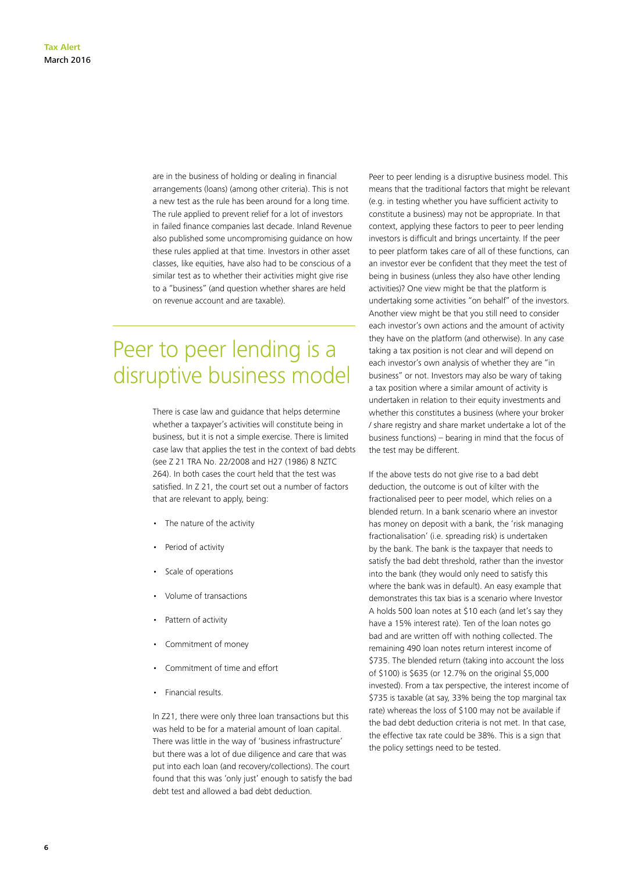are in the business of holding or dealing in financial arrangements (loans) (among other criteria). This is not a new test as the rule has been around for a long time. The rule applied to prevent relief for a lot of investors in failed finance companies last decade. Inland Revenue also published some uncompromising guidance on how these rules applied at that time. Investors in other asset classes, like equities, have also had to be conscious of a similar test as to whether their activities might give rise to a "business" (and question whether shares are held on revenue account and are taxable).

### Peer to peer lending is a disruptive business model

There is case law and guidance that helps determine whether a taxpayer's activities will constitute being in business, but it is not a simple exercise. There is limited case law that applies the test in the context of bad debts (see Z 21 TRA No. 22/2008 and H27 (1986) 8 NZTC 264). In both cases the court held that the test was satisfied. In Z 21, the court set out a number of factors that are relevant to apply, being:

- The nature of the activity
- Period of activity
- Scale of operations
- Volume of transactions
- Pattern of activity
- Commitment of money
- Commitment of time and effort
- Financial results.

In Z21, there were only three loan transactions but this was held to be for a material amount of loan capital. There was little in the way of 'business infrastructure' but there was a lot of due diligence and care that was put into each loan (and recovery/collections). The court found that this was 'only just' enough to satisfy the bad debt test and allowed a bad debt deduction.

Peer to peer lending is a disruptive business model. This means that the traditional factors that might be relevant (e.g. in testing whether you have sufficient activity to constitute a business) may not be appropriate. In that context, applying these factors to peer to peer lending investors is difficult and brings uncertainty. If the peer to peer platform takes care of all of these functions, can an investor ever be confident that they meet the test of being in business (unless they also have other lending activities)? One view might be that the platform is undertaking some activities "on behalf" of the investors. Another view might be that you still need to consider each investor's own actions and the amount of activity they have on the platform (and otherwise). In any case taking a tax position is not clear and will depend on each investor's own analysis of whether they are "in business" or not. Investors may also be wary of taking a tax position where a similar amount of activity is undertaken in relation to their equity investments and whether this constitutes a business (where your broker / share registry and share market undertake a lot of the business functions) – bearing in mind that the focus of the test may be different.

If the above tests do not give rise to a bad debt deduction, the outcome is out of kilter with the fractionalised peer to peer model, which relies on a blended return. In a bank scenario where an investor has money on deposit with a bank, the 'risk managing fractionalisation' (i.e. spreading risk) is undertaken by the bank. The bank is the taxpayer that needs to satisfy the bad debt threshold, rather than the investor into the bank (they would only need to satisfy this where the bank was in default). An easy example that demonstrates this tax bias is a scenario where Investor A holds 500 loan notes at \$10 each (and let's say they have a 15% interest rate). Ten of the loan notes go bad and are written off with nothing collected. The remaining 490 loan notes return interest income of \$735. The blended return (taking into account the loss of \$100) is \$635 (or 12.7% on the original \$5,000 invested). From a tax perspective, the interest income of \$735 is taxable (at say, 33% being the top marginal tax rate) whereas the loss of \$100 may not be available if the bad debt deduction criteria is not met. In that case, the effective tax rate could be 38%. This is a sign that the policy settings need to be tested.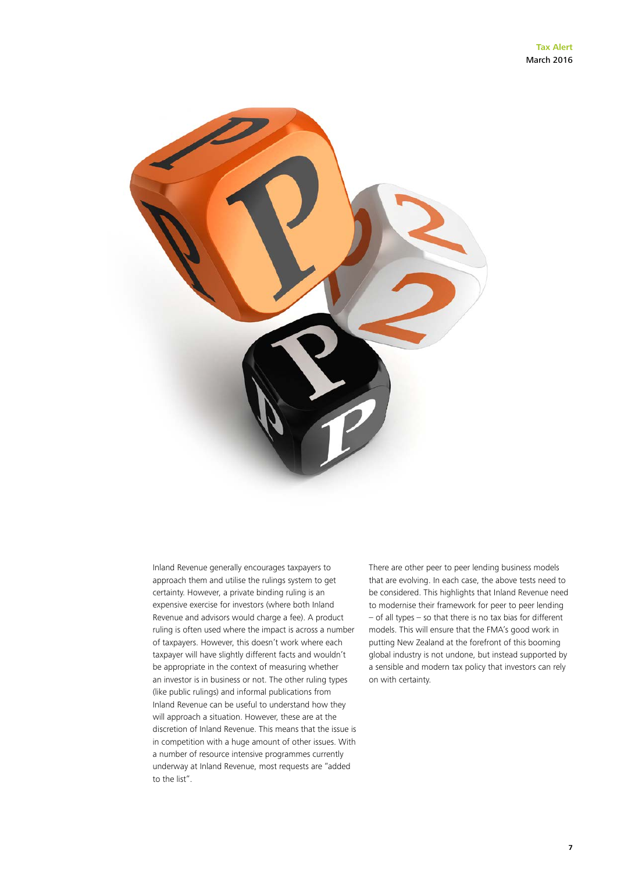

Inland Revenue generally encourages taxpayers to approach them and utilise the rulings system to get certainty. However, a private binding ruling is an expensive exercise for investors (where both Inland Revenue and advisors would charge a fee). A product ruling is often used where the impact is across a number of taxpayers. However, this doesn't work where each taxpayer will have slightly different facts and wouldn't be appropriate in the context of measuring whether an investor is in business or not. The other ruling types (like public rulings) and informal publications from Inland Revenue can be useful to understand how they will approach a situation. However, these are at the discretion of Inland Revenue. This means that the issue is in competition with a huge amount of other issues. With a number of resource intensive programmes currently underway at Inland Revenue, most requests are "added to the list".

There are other peer to peer lending business models that are evolving. In each case, the above tests need to be considered. This highlights that Inland Revenue need to modernise their framework for peer to peer lending – of all types – so that there is no tax bias for different models. This will ensure that the FMA's good work in putting New Zealand at the forefront of this booming global industry is not undone, but instead supported by a sensible and modern tax policy that investors can rely on with certainty.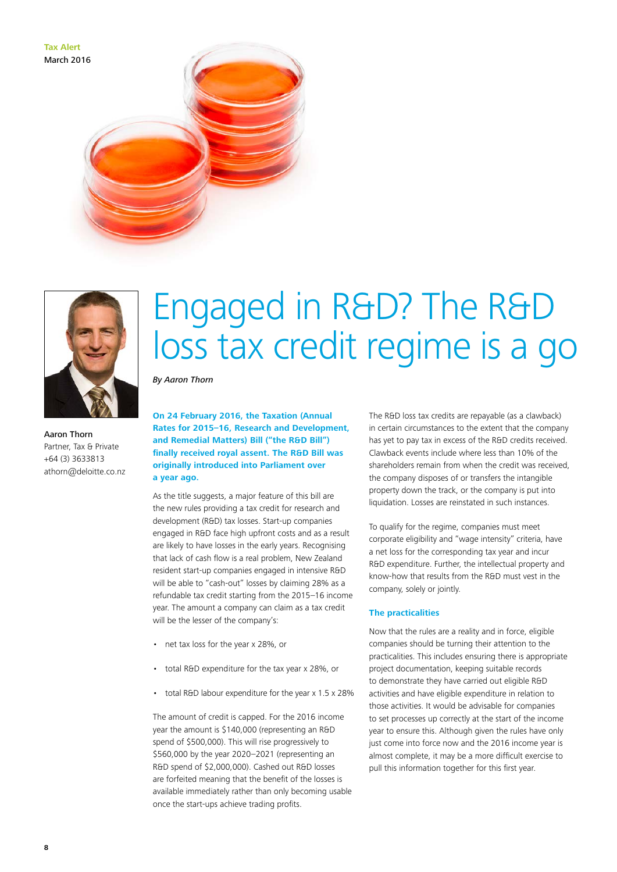**Tax Alert** March 2016





Aaron Thorn Partner, Tax & Private +64 (3) 3633813 athorn@deloitte.co.nz

### Engaged in R&D? The R&D loss tax credit regime is a go

*By Aaron Thorn*

**On 24 February 2016, the Taxation (Annual Rates for 2015–16, Research and Development, and Remedial Matters) Bill ("the R&D Bill") finally received royal assent. The R&D Bill was originally introduced into Parliament over a year ago.**

As the title suggests, a major feature of this bill are the new rules providing a tax credit for research and development (R&D) tax losses. Start-up companies engaged in R&D face high upfront costs and as a result are likely to have losses in the early years. Recognising that lack of cash flow is a real problem, New Zealand resident start-up companies engaged in intensive R&D will be able to "cash-out" losses by claiming 28% as a refundable tax credit starting from the 2015–16 income year. The amount a company can claim as a tax credit will be the lesser of the company's:

- net tax loss for the year x 28%, or
- total R&D expenditure for the tax year x 28%, or
- total R&D labour expenditure for the year x 1.5 x 28%

The amount of credit is capped. For the 2016 income year the amount is \$140,000 (representing an R&D spend of \$500,000). This will rise progressively to \$560,000 by the year 2020–2021 (representing an R&D spend of \$2,000,000). Cashed out R&D losses are forfeited meaning that the benefit of the losses is available immediately rather than only becoming usable once the start-ups achieve trading profits.

The R&D loss tax credits are repayable (as a clawback) in certain circumstances to the extent that the company has yet to pay tax in excess of the R&D credits received. Clawback events include where less than 10% of the shareholders remain from when the credit was received, the company disposes of or transfers the intangible property down the track, or the company is put into liquidation. Losses are reinstated in such instances.

To qualify for the regime, companies must meet corporate eligibility and "wage intensity" criteria, have a net loss for the corresponding tax year and incur R&D expenditure. Further, the intellectual property and know-how that results from the R&D must vest in the company, solely or jointly.

#### **The practicalities**

Now that the rules are a reality and in force, eligible companies should be turning their attention to the practicalities. This includes ensuring there is appropriate project documentation, keeping suitable records to demonstrate they have carried out eligible R&D activities and have eligible expenditure in relation to those activities. It would be advisable for companies to set processes up correctly at the start of the income year to ensure this. Although given the rules have only just come into force now and the 2016 income year is almost complete, it may be a more difficult exercise to pull this information together for this first year.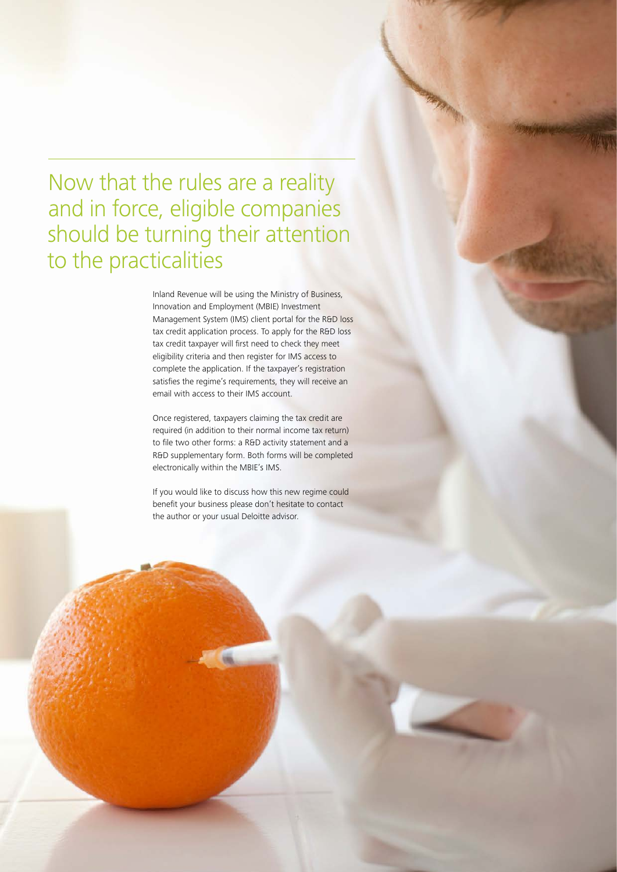Now that the rules are a reality and in force, eligible companies should be turning their attention to the practicalities

> Inland Revenue will be using the Ministry of Business, Innovation and Employment (MBIE) Investment Management System (IMS) client portal for the R&D loss tax credit application process. To apply for the R&D loss tax credit taxpayer will first need to check they meet eligibility criteria and then register for IMS access to complete the application. If the taxpayer's registration satisfies the regime's requirements, they will receive an email with access to their IMS account.

> Once registered, taxpayers claiming the tax credit are required (in addition to their normal income tax return) to file two other forms: a R&D activity statement and a R&D supplementary form. Both forms will be completed electronically within the MBIE's IMS.

If you would like to discuss how this new regime could benefit your business please don't hesitate to contact the author or your usual Deloitte advisor.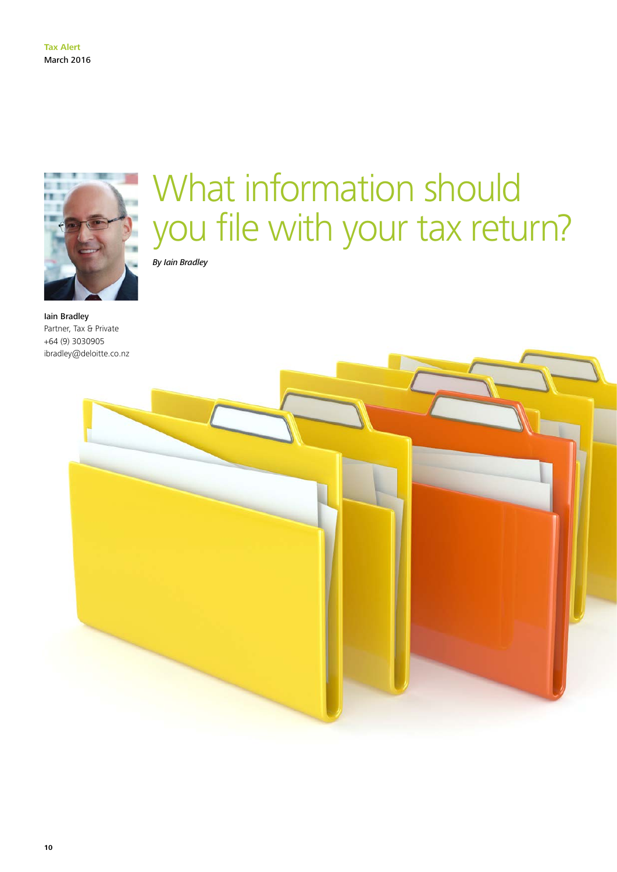

What information should you file with your tax return?

*By Iain Bradley*

Iain Bradley Partner, Tax & Private +64 (9) 3030905 ibradley@deloitte.co.nz

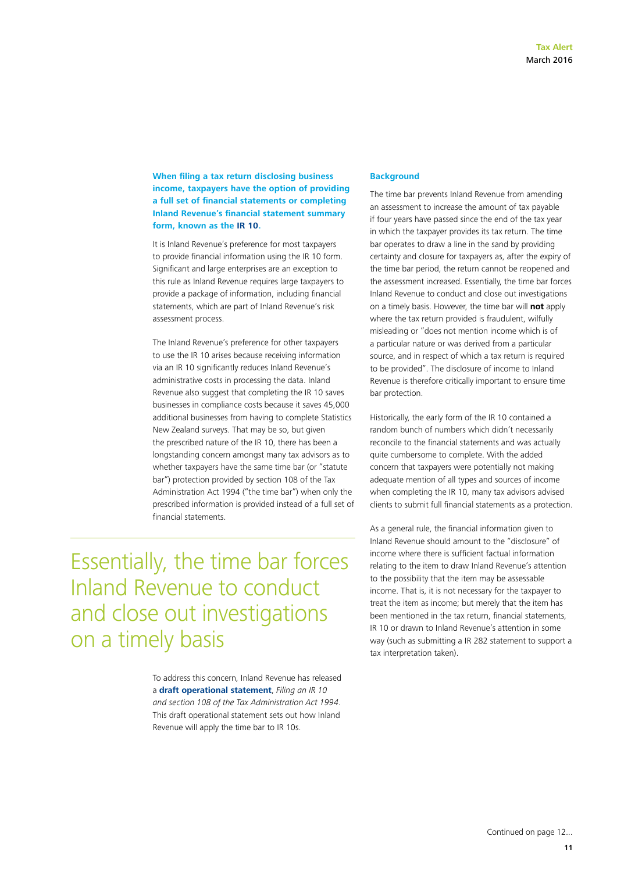#### **When filing a tax return disclosing business income, taxpayers have the option of providing a full set of financial statements or completing Inland Revenue's financial statement summary form, known as the [IR 10](http://www.ird.govt.nz/resources/d/f/dfcf5936-0572-4f47-b5f7-066d4ee65b78/ir10-2015.pdf).**

It is Inland Revenue's preference for most taxpayers to provide financial information using the IR 10 form. Significant and large enterprises are an exception to this rule as Inland Revenue requires large taxpayers to provide a package of information, including financial statements, which are part of Inland Revenue's risk assessment process.

The Inland Revenue's preference for other taxpayers to use the IR 10 arises because receiving information via an IR 10 significantly reduces Inland Revenue's administrative costs in processing the data. Inland Revenue also suggest that completing the IR 10 saves businesses in compliance costs because it saves 45,000 additional businesses from having to complete Statistics New Zealand surveys. That may be so, but given the prescribed nature of the IR 10, there has been a longstanding concern amongst many tax advisors as to whether taxpayers have the same time bar (or "statute bar") protection provided by section 108 of the Tax Administration Act 1994 ("the time bar") when only the prescribed information is provided instead of a full set of financial statements.

Essentially, the time bar forces Inland Revenue to conduct and close out investigations on a timely basis

> To address this concern, Inland Revenue has released a **[draft operational statement](http://nzwired/tax_and_private/Documents/2016 Weekly Tax Highlights/05 IR 10 Operational Statement - ED0184.pdf?Web=1)**, *Filing an IR 10 and section 108 of the Tax Administration Act 1994*. This draft operational statement sets out how Inland Revenue will apply the time bar to IR 10s.

#### **Background**

The time bar prevents Inland Revenue from amending an assessment to increase the amount of tax payable if four years have passed since the end of the tax year in which the taxpayer provides its tax return. The time bar operates to draw a line in the sand by providing certainty and closure for taxpayers as, after the expiry of the time bar period, the return cannot be reopened and the assessment increased. Essentially, the time bar forces Inland Revenue to conduct and close out investigations on a timely basis. However, the time bar will **not** apply where the tax return provided is fraudulent, wilfully misleading or "does not mention income which is of a particular nature or was derived from a particular source, and in respect of which a tax return is required to be provided". The disclosure of income to Inland Revenue is therefore critically important to ensure time bar protection.

Historically, the early form of the IR 10 contained a random bunch of numbers which didn't necessarily reconcile to the financial statements and was actually quite cumbersome to complete. With the added concern that taxpayers were potentially not making adequate mention of all types and sources of income when completing the IR 10, many tax advisors advised clients to submit full financial statements as a protection.

As a general rule, the financial information given to Inland Revenue should amount to the "disclosure" of income where there is sufficient factual information relating to the item to draw Inland Revenue's attention to the possibility that the item may be assessable income. That is, it is not necessary for the taxpayer to treat the item as income; but merely that the item has been mentioned in the tax return, financial statements, IR 10 or drawn to Inland Revenue's attention in some way (such as submitting a IR 282 statement to support a tax interpretation taken).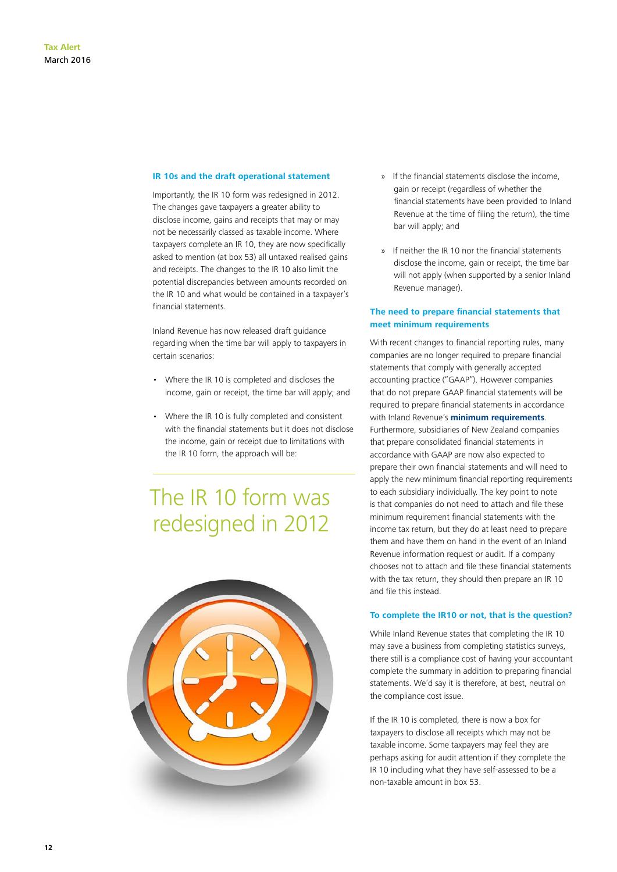#### **IR 10s and the draft operational statement**

Importantly, the IR 10 form was redesigned in 2012. The changes gave taxpayers a greater ability to disclose income, gains and receipts that may or may not be necessarily classed as taxable income. Where taxpayers complete an IR 10, they are now specifically asked to mention (at box 53) all untaxed realised gains and receipts. The changes to the IR 10 also limit the potential discrepancies between amounts recorded on the IR 10 and what would be contained in a taxpayer's financial statements.

Inland Revenue has now released draft guidance regarding when the time bar will apply to taxpayers in certain scenarios:

- Where the IR 10 is completed and discloses the income, gain or receipt, the time bar will apply; and
- Where the IR 10 is fully completed and consistent with the financial statements but it does not disclose the income, gain or receipt due to limitations with the IR 10 form, the approach will be:

### The IR 10 form was redesigned in 2012



- » If the financial statements disclose the income, gain or receipt (regardless of whether the financial statements have been provided to Inland Revenue at the time of filing the return), the time bar will apply; and
- » If neither the IR 10 nor the financial statements disclose the income, gain or receipt, the time bar will not apply (when supported by a senior Inland Revenue manager).

#### **The need to prepare financial statements that meet minimum requirements**

With recent changes to financial reporting rules, many companies are no longer required to prepare financial statements that comply with generally accepted accounting practice ("GAAP"). However companies that do not prepare GAAP financial statements will be required to prepare financial statements in accordance with Inland Revenue's **[minimum requirements](http://www.ird.govt.nz/business-income-tax/filing-returns/financial-reports.html)**. Furthermore, subsidiaries of New Zealand companies that prepare consolidated financial statements in accordance with GAAP are now also expected to prepare their own financial statements and will need to apply the new minimum financial reporting requirements to each subsidiary individually. The key point to note is that companies do not need to attach and file these minimum requirement financial statements with the income tax return, but they do at least need to prepare them and have them on hand in the event of an Inland Revenue information request or audit. If a company chooses not to attach and file these financial statements with the tax return, they should then prepare an IR 10 and file this instead.

#### **To complete the IR10 or not, that is the question?**

While Inland Revenue states that completing the IR 10 may save a business from completing statistics surveys, there still is a compliance cost of having your accountant complete the summary in addition to preparing financial statements. We'd say it is therefore, at best, neutral on the compliance cost issue.

If the IR 10 is completed, there is now a box for taxpayers to disclose all receipts which may not be taxable income. Some taxpayers may feel they are perhaps asking for audit attention if they complete the IR 10 including what they have self-assessed to be a non-taxable amount in box 53.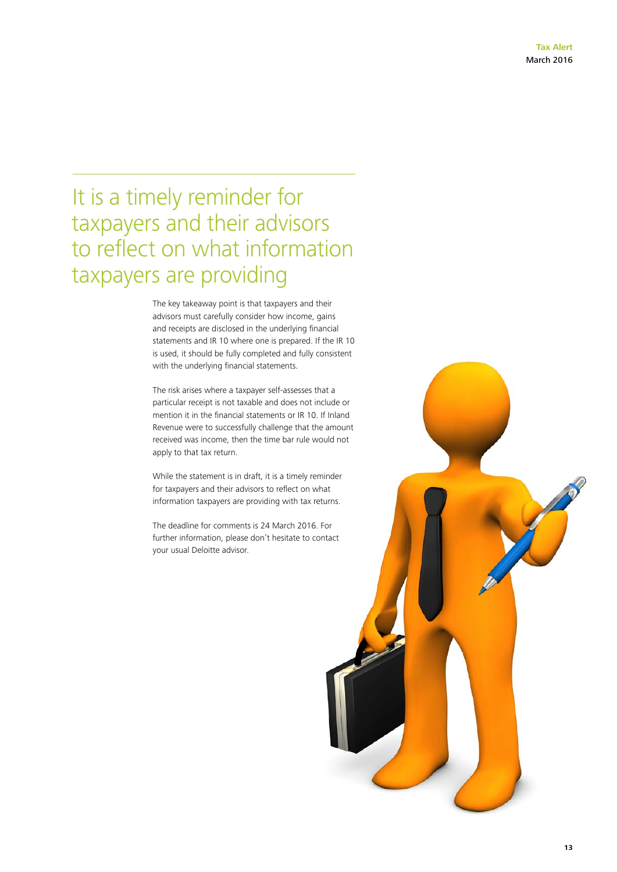### It is a timely reminder for taxpayers and their advisors to reflect on what information taxpayers are providing

The key takeaway point is that taxpayers and their advisors must carefully consider how income, gains and receipts are disclosed in the underlying financial statements and IR 10 where one is prepared. If the IR 10 is used, it should be fully completed and fully consistent with the underlying financial statements.

The risk arises where a taxpayer self-assesses that a particular receipt is not taxable and does not include or mention it in the financial statements or IR 10. If Inland Revenue were to successfully challenge that the amount received was income, then the time bar rule would not apply to that tax return.

While the statement is in draft, it is a timely reminder for taxpayers and their advisors to reflect on what information taxpayers are providing with tax returns.

The deadline for comments is 24 March 2016. For further information, please don't hesitate to contact your usual Deloitte advisor.

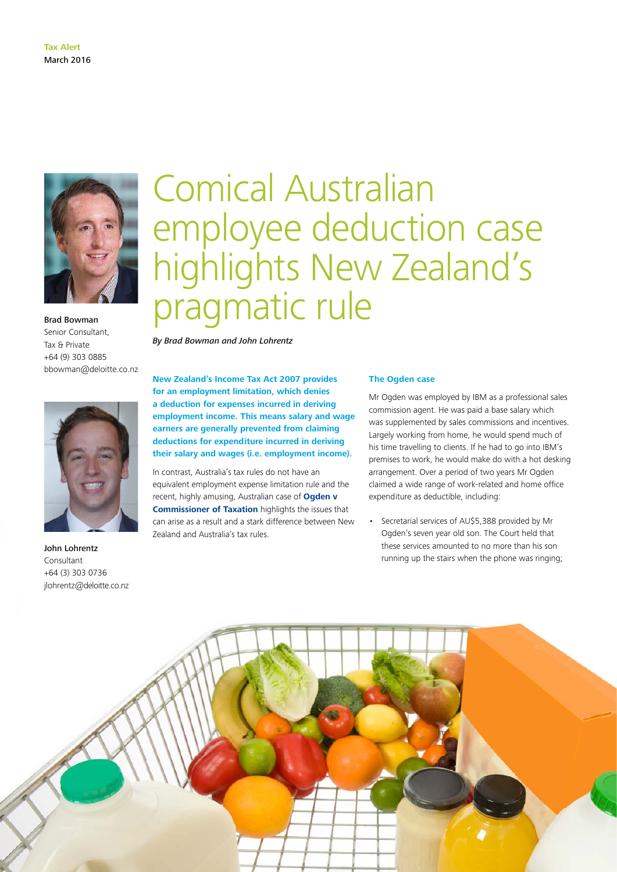

Brad Bowman Senior Consultant, Tax & Private +64 (9) 303 0885 bbowman@deloitte.co.nz



John Lohrentz Consultant +64 (3) 303 0736 jlohrentz@deloitte.co.nz

# Comical Australian employee deduction case highlights New Zealand's pragmatic rule

*By Brad Bowman and John Lohrentz*

**New Zealand's Income Tax Act 2007 provides for an employment limitation, which denies a deduction for expenses incurred in deriving employment income. This means salary and wage earners are generally prevented from claiming deductions for expenditure incurred in deriving their salary and wages (i.e. employment income).**

In contrast, Australia's tax rules do not have an equivalent employment expense limitation rule and the recent, highly amusing, Australian case of **[Ogden v](http://www.austlii.edu.au/au/cases/cth/AATA/2016/32.html)  [Commissioner of Taxation](http://www.austlii.edu.au/au/cases/cth/AATA/2016/32.html)** highlights the issues that can arise as a result and a stark difference between New Zealand and Australia's tax rules.

#### **The Ogden case**

Mr Ogden was employed by IBM as a professional sales commission agent. He was paid a base salary which was supplemented by sales commissions and incentives. Largely working from home, he would spend much of his time travelling to clients. If he had to go into IBM's premises to work, he would make do with a hot desking arrangement. Over a period of two years Mr Ogden claimed a wide range of work-related and home office expenditure as deductible, including:

• Secretarial services of AU\$5,388 provided by Mr Ogden's seven year old son. The Court held that these services amounted to no more than his son running up the stairs when the phone was ringing;

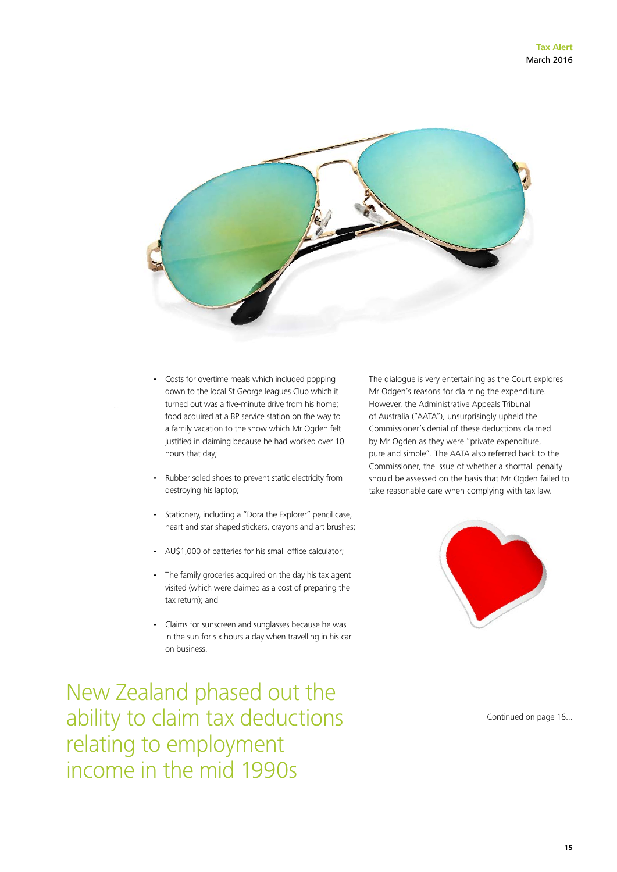

- Costs for overtime meals which included popping down to the local St George leagues Club which it turned out was a five-minute drive from his home; food acquired at a BP service station on the way to a family vacation to the snow which Mr Ogden felt justified in claiming because he had worked over 10 hours that day;
- Rubber soled shoes to prevent static electricity from destroying his laptop;
- Stationery, including a "Dora the Explorer" pencil case, heart and star shaped stickers, crayons and art brushes;
- AU\$1,000 of batteries for his small office calculator;
- The family groceries acquired on the day his tax agent visited (which were claimed as a cost of preparing the tax return); and
- Claims for sunscreen and sunglasses because he was in the sun for six hours a day when travelling in his car on business.

The dialogue is very entertaining as the Court explores Mr Odgen's reasons for claiming the expenditure. However, the Administrative Appeals Tribunal of Australia ("AATA"), unsurprisingly upheld the Commissioner's denial of these deductions claimed by Mr Ogden as they were "private expenditure, pure and simple". The AATA also referred back to the Commissioner, the issue of whether a shortfall penalty should be assessed on the basis that Mr Ogden failed to take reasonable care when complying with tax law.



New Zealand phased out the ability to claim tax deductions relating to employment income in the mid 1990s

Continued on page 16...